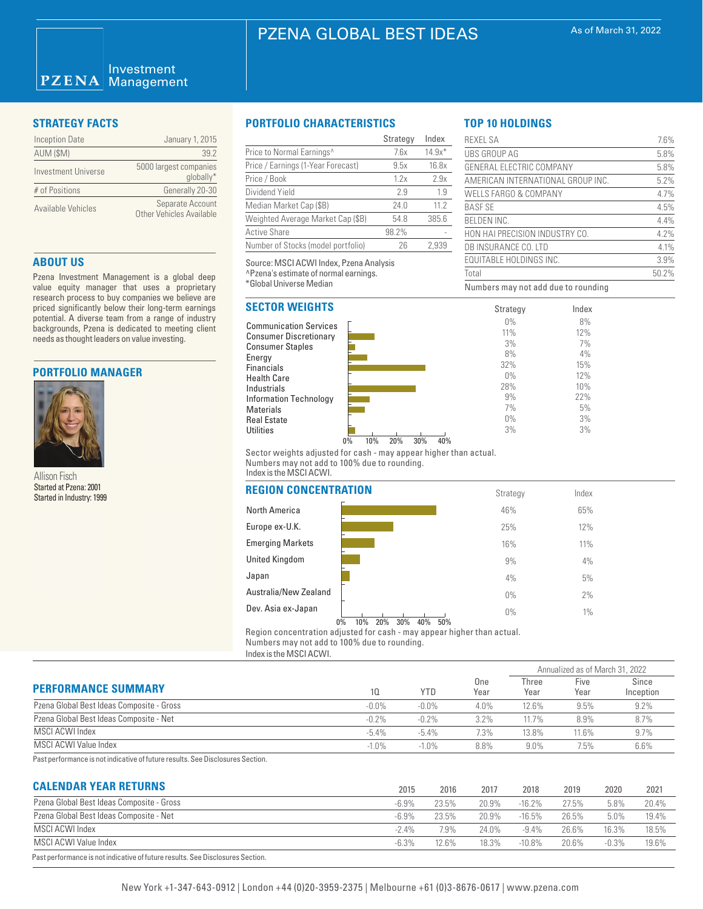### Investment  $PZENA$ **Management**

| <b>Inception Date</b> | January 1, 2015                              |
|-----------------------|----------------------------------------------|
| AUM (\$M)             | 392                                          |
| Investment Universe   | 5000 largest companies<br>qlobally*          |
| # of Positions        | Generally 20-30                              |
| Available Vehicles    | Separate Account<br>Other Vehicles Available |

# **ABOUT US**

Pzena Investment Management is a global deep value equity manager that uses a proprietary research process to buy companies we believe are priced significantly below their long-term earnings potential. A diverse team from a range of industry backgrounds, Pzena is dedicated to meeting client needs as thought leaders on value investing.

## **PORTFOLIO MANAGER**



Allison Fisch Started at Pzena: 2001 Started in Industry: 1999

# **STRATEGY FACTS PORTFOLIO CHARACTERISTICS**

|                                    | Strategy | Index    |
|------------------------------------|----------|----------|
| Price to Normal Earnings^          | 7.6x     | $14.9x*$ |
| Price / Earnings (1-Year Forecast) | 9.5x     | 16.8x    |
| Price / Book                       | 1.2x     | 2.9x     |
| Dividend Yield                     | 2.9      | 1.9      |
| Median Market Cap (\$B)            | 24.0     | 11.2     |
| Weighted Average Market Cap (\$B)  | 54.8     | 385.6    |
| <b>Active Share</b>                | 98.2%    |          |
| Number of Stocks (model portfolio) | 26       | 2.939    |

Source: MSCI ACWI Index, Pzena Analysis ^Pzena's estimate of normal earnings. \*Global Universe Median

# **SECTOR WEIGHTS**

Communication Services Consumer Discretionary Consumer Staples Energy Financials Health Care Industrials Information Technology Materials Real Estate **Utilities** 

|                                | Strategy | Index |
|--------------------------------|----------|-------|
|                                | $0\%$    | 8%    |
|                                | 11%      | 12%   |
|                                | 3%       | 7%    |
|                                | 8%       | 4%    |
|                                | 32%      | 15%   |
|                                | $0\%$    | 12%   |
|                                | 28%      | 10%   |
|                                | 9%       | 22%   |
|                                | 7%       | 5%    |
|                                | $0\%$    | 3%    |
|                                | 3%       | 3%    |
| 10%<br>20%<br>30%<br>40%<br>0% |          |       |

Sector weights adjusted for cash - may appear higher than actual. Numbers may not add to 100% due to rounding. Index is the MSCI ACWI.

| REGION CONCENTRATION                                    | Strategy     | Index |  |
|---------------------------------------------------------|--------------|-------|--|
| North America                                           | 46%          | 65%   |  |
| Europe ex-U.K.                                          | 25%          | 12%   |  |
| <b>Emerging Markets</b>                                 | 16%          | 11%   |  |
| United Kingdom                                          | 9%           | 4%    |  |
| Japan                                                   | 4%           | 5%    |  |
| Australia/New Zealand                                   | $0\%$        | 2%    |  |
| Dev. Asia ex-Japan<br>20%<br>30%<br>10%<br>40%<br>$0\%$ | $0\%$<br>50% | $1\%$ |  |
|                                                         |              |       |  |

Region concentration adjusted for cash - may appear higher than actual. Numbers may not add to 100% due to rounding.

Index is the MSCI ACWI.

|                                           |          |          |             |               | Annualized as of March 31, 2022 |                    |
|-------------------------------------------|----------|----------|-------------|---------------|---------------------------------|--------------------|
| <b>PERFORMANCE SUMMARY</b>                | 10       | YTD      | One<br>Year | Three<br>Year | Five<br>Year                    | Since<br>Inception |
| Pzena Global Best Ideas Composite - Gross | $-0.0\%$ | $-0.0\%$ | 4.0%        | 12.6%         | 9.5%                            | 9.2%               |
| Pzena Global Best Ideas Composite - Net   | $-0.2%$  | $-0.2\%$ | 3.2%        | 11.7%         | 8.9%                            | 8.7%               |
| MSCI ACWI Index                           | $-5.4%$  | $-5.4\%$ | 7.3%        | 13.8%         | $11.6\%$                        | $9.7\%$            |
| MSCI ACWI Value Index                     | $-1.0%$  | $-1.0%$  | 8.8%        | $9.0\%$       | 7.5%                            | 6.6%               |

Past performance is not indicative of future results. See Disclosures Section.

# **CALENDAR YEAR RETURNS**

| <b>UALENDAN TEAN NETURINO</b>                                                  | 2015    | 2016  | 2017  | 2018      | 2019  | 2020     | 2021  |
|--------------------------------------------------------------------------------|---------|-------|-------|-----------|-------|----------|-------|
| Pzena Global Best Ideas Composite - Gross                                      | $-6.9%$ | 23.5% | 20.9% | $-16.2%$  | 27.5% | 5.8%     | 20.4% |
| Pzena Global Best Ideas Composite - Net                                        | $-6.9%$ | 23.5% | 20.9% | $-16.5%$  | 26.5% | 5.0%     | 19.4% |
| MSCI ACWI Index                                                                | $-24%$  | 7.9%  | 24.0% | $-9.4%$   | 26.6% | 16.3%    | 18.5% |
| MSCI ACWI Value Index                                                          | $-6.3%$ | 12.6% | 18.3% | $-10.8\%$ | 20.6% | $-0.3\%$ | 19.6% |
| Past performance is not indicative of future results. See Disclosures Section. |         |       |       |           |       |          |       |

| <b>REXEL SA</b>                     | 7.6%  |
|-------------------------------------|-------|
| UBS GROUP AG                        | 5.8%  |
| GENERAL ELECTRIC COMPANY            | 5.8%  |
| AMERICAN INTERNATIONAL GROUP INC.   | 5.2%  |
| WELLS FARGO & COMPANY               | 4.7%  |
| <b>BASE SE</b>                      | 4.5%  |
| <b>BELDEN INC.</b>                  | 4.4%  |
| HON HAI PRECISION INDUSTRY CO.      | 4.2%  |
| DB INSURANCE CO. LTD                | 4.1%  |
| <b>EQUITABLE HOLDINGS INC.</b>      | 3.9%  |
| Total                               | 50.2% |
| Numbers may not add due to rounding |       |

**TOP 10 HOLDINGS**